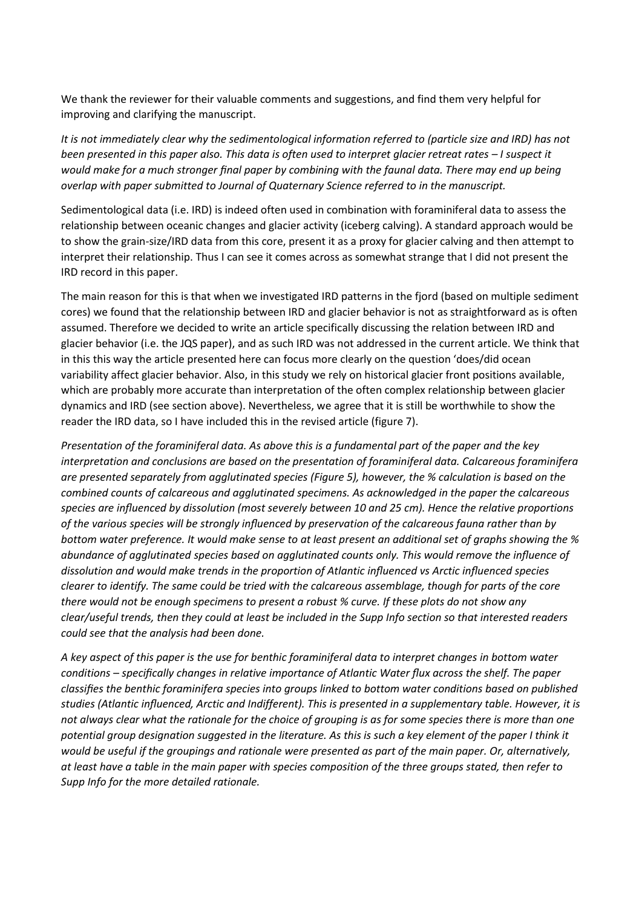We thank the reviewer for their valuable comments and suggestions, and find them very helpful for improving and clarifying the manuscript.

*It is not immediately clear why the sedimentological information referred to (particle size and IRD) has not been presented in this paper also. This data is often used to interpret glacier retreat rates – I suspect it would make for a much stronger final paper by combining with the faunal data. There may end up being overlap with paper submitted to Journal of Quaternary Science referred to in the manuscript.*

Sedimentological data (i.e. IRD) is indeed often used in combination with foraminiferal data to assess the relationship between oceanic changes and glacier activity (iceberg calving). A standard approach would be to show the grain-size/IRD data from this core, present it as a proxy for glacier calving and then attempt to interpret their relationship. Thus I can see it comes across as somewhat strange that I did not present the IRD record in this paper.

The main reason for this is that when we investigated IRD patterns in the fjord (based on multiple sediment cores) we found that the relationship between IRD and glacier behavior is not as straightforward as is often assumed. Therefore we decided to write an article specifically discussing the relation between IRD and glacier behavior (i.e. the JQS paper), and as such IRD was not addressed in the current article. We think that in this this way the article presented here can focus more clearly on the question 'does/did ocean variability affect glacier behavior. Also, in this study we rely on historical glacier front positions available, which are probably more accurate than interpretation of the often complex relationship between glacier dynamics and IRD (see section above). Nevertheless, we agree that it is still be worthwhile to show the reader the IRD data, so I have included this in the revised article (figure 7).

*Presentation of the foraminiferal data. As above this is a fundamental part of the paper and the key interpretation and conclusions are based on the presentation of foraminiferal data. Calcareous foraminifera are presented separately from agglutinated species (Figure 5), however, the % calculation is based on the combined counts of calcareous and agglutinated specimens. As acknowledged in the paper the calcareous species are influenced by dissolution (most severely between 10 and 25 cm). Hence the relative proportions of the various species will be strongly influenced by preservation of the calcareous fauna rather than by bottom water preference. It would make sense to at least present an additional set of graphs showing the % abundance of agglutinated species based on agglutinated counts only. This would remove the influence of dissolution and would make trends in the proportion of Atlantic influenced vs Arctic influenced species clearer to identify. The same could be tried with the calcareous assemblage, though for parts of the core there would not be enough specimens to present a robust % curve. If these plots do not show any clear/useful trends, then they could at least be included in the Supp Info section so that interested readers could see that the analysis had been done.*

*A key aspect of this paper is the use for benthic foraminiferal data to interpret changes in bottom water conditions – specifically changes in relative importance of Atlantic Water flux across the shelf. The paper classifies the benthic foraminifera species into groups linked to bottom water conditions based on published studies (Atlantic influenced, Arctic and Indifferent). This is presented in a supplementary table. However, it is not always clear what the rationale for the choice of grouping is as for some species there is more than one potential group designation suggested in the literature. As this is such a key element of the paper I think it would be useful if the groupings and rationale were presented as part of the main paper. Or, alternatively, at least have a table in the main paper with species composition of the three groups stated, then refer to Supp Info for the more detailed rationale.*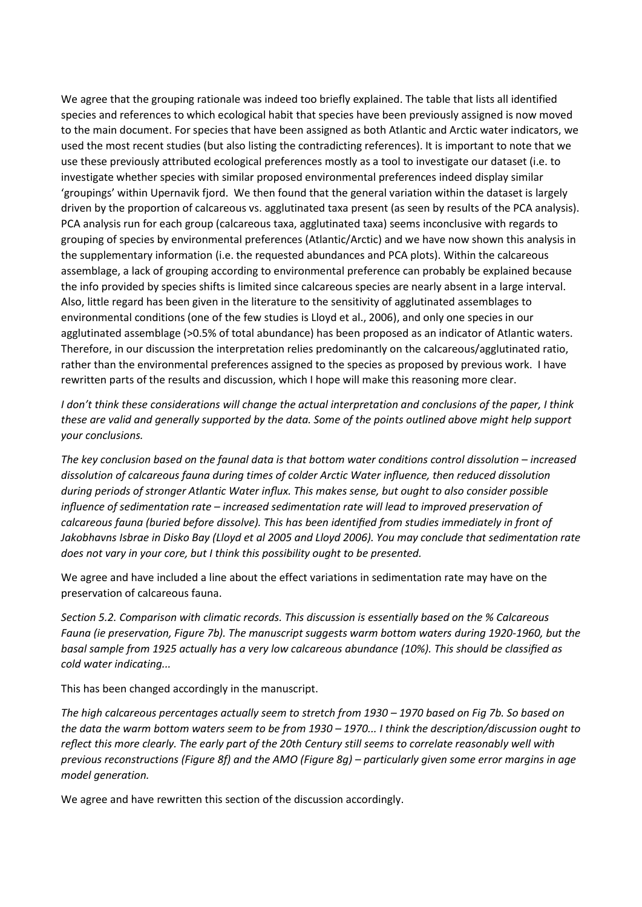We agree that the grouping rationale was indeed too briefly explained. The table that lists all identified species and references to which ecological habit that species have been previously assigned is now moved to the main document. For species that have been assigned as both Atlantic and Arctic water indicators, we used the most recent studies (but also listing the contradicting references). It is important to note that we use these previously attributed ecological preferences mostly as a tool to investigate our dataset (i.e. to investigate whether species with similar proposed environmental preferences indeed display similar 'groupings' within Upernavik fjord. We then found that the general variation within the dataset is largely driven by the proportion of calcareous vs. agglutinated taxa present (as seen by results of the PCA analysis). PCA analysis run for each group (calcareous taxa, agglutinated taxa) seems inconclusive with regards to grouping of species by environmental preferences (Atlantic/Arctic) and we have now shown this analysis in the supplementary information (i.e. the requested abundances and PCA plots). Within the calcareous assemblage, a lack of grouping according to environmental preference can probably be explained because the info provided by species shifts is limited since calcareous species are nearly absent in a large interval. Also, little regard has been given in the literature to the sensitivity of agglutinated assemblages to environmental conditions (one of the few studies is Lloyd et al., 2006), and only one species in our agglutinated assemblage (>0.5% of total abundance) has been proposed as an indicator of Atlantic waters. Therefore, in our discussion the interpretation relies predominantly on the calcareous/agglutinated ratio, rather than the environmental preferences assigned to the species as proposed by previous work. I have rewritten parts of the results and discussion, which I hope will make this reasoning more clear.

*I don't think these considerations will change the actual interpretation and conclusions of the paper, I think these are valid and generally supported by the data. Some of the points outlined above might help support your conclusions.*

*The key conclusion based on the faunal data is that bottom water conditions control dissolution – increased dissolution of calcareous fauna during times of colder Arctic Water influence, then reduced dissolution during periods of stronger Atlantic Water influx. This makes sense, but ought to also consider possible influence of sedimentation rate – increased sedimentation rate will lead to improved preservation of calcareous fauna (buried before dissolve). This has been identified from studies immediately in front of Jakobhavns Isbrae in Disko Bay (Lloyd et al 2005 and Lloyd 2006). You may conclude that sedimentation rate does not vary in your core, but I think this possibility ought to be presented.*

We agree and have included a line about the effect variations in sedimentation rate may have on the preservation of calcareous fauna.

*Section 5.2. Comparison with climatic records. This discussion is essentially based on the % Calcareous Fauna (ie preservation, Figure 7b). The manuscript suggests warm bottom waters during 1920-1960, but the basal sample from 1925 actually has a very low calcareous abundance (10%). This should be classified as cold water indicating...*

This has been changed accordingly in the manuscript.

*The high calcareous percentages actually seem to stretch from 1930 – 1970 based on Fig 7b. So based on the data the warm bottom waters seem to be from 1930 – 1970... I think the description/discussion ought to reflect this more clearly. The early part of the 20th Century still seems to correlate reasonably well with previous reconstructions (Figure 8f) and the AMO (Figure 8g) – particularly given some error margins in age model generation.*

We agree and have rewritten this section of the discussion accordingly.